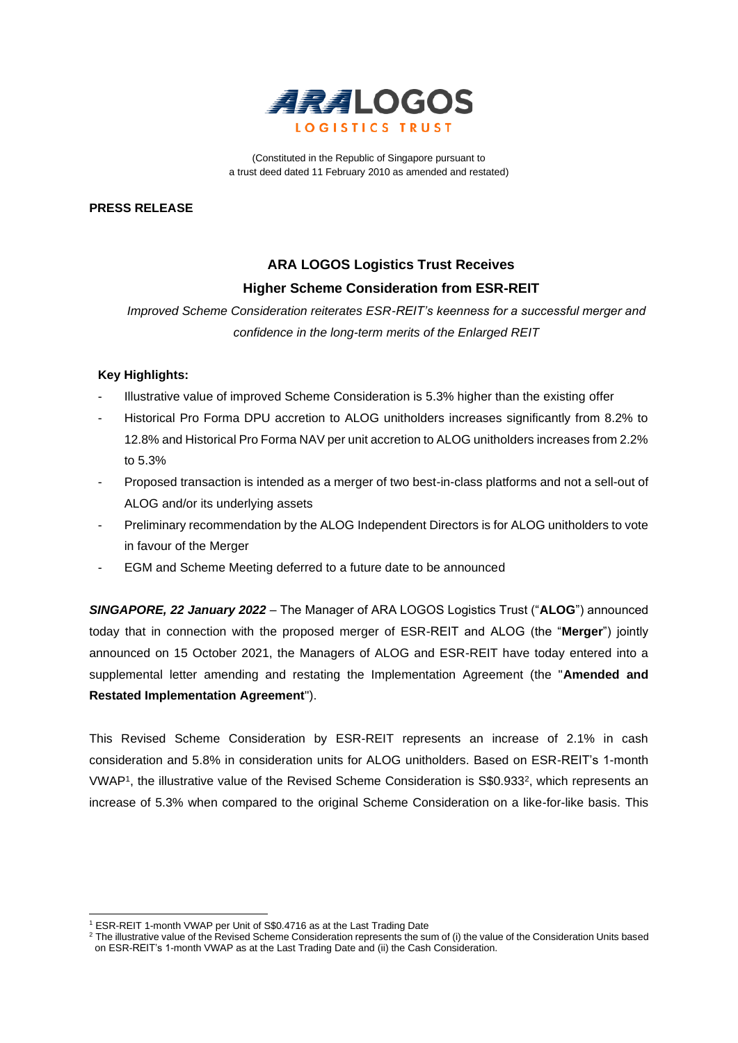

(Constituted in the Republic of Singapore pursuant to a trust deed dated 11 February 2010 as amended and restated)

**PRESS RELEASE**

# **ARA LOGOS Logistics Trust Receives Higher Scheme Consideration from ESR-REIT**

*Improved Scheme Consideration reiterates ESR-REIT's keenness for a successful merger and confidence in the long-term merits of the Enlarged REIT*

### **Key Highlights:**

- Illustrative value of improved Scheme Consideration is 5.3% higher than the existing offer
- Historical Pro Forma DPU accretion to ALOG unitholders increases significantly from 8.2% to 12.8% and Historical Pro Forma NAV per unit accretion to ALOG unitholders increases from 2.2% to 5.3%
- Proposed transaction is intended as a merger of two best-in-class platforms and not a sell-out of ALOG and/or its underlying assets
- Preliminary recommendation by the ALOG Independent Directors is for ALOG unitholders to vote in favour of the Merger
- EGM and Scheme Meeting deferred to a future date to be announced

*SINGAPORE, 22 January 2022* – The Manager of ARA LOGOS Logistics Trust ("**ALOG**") announced today that in connection with the proposed merger of ESR-REIT and ALOG (the "**Merger**") jointly announced on 15 October 2021, the Managers of ALOG and ESR-REIT have today entered into a supplemental letter amending and restating the Implementation Agreement (the "**Amended and Restated Implementation Agreement**").

This Revised Scheme Consideration by ESR-REIT represents an increase of 2.1% in cash consideration and 5.8% in consideration units for ALOG unitholders. Based on ESR-REIT's 1-month VWAP<sup>1</sup>, the illustrative value of the Revised Scheme Consideration is S\$0.933<sup>2</sup>, which represents an increase of 5.3% when compared to the original Scheme Consideration on a like-for-like basis. This

<sup>1</sup> ESR-REIT 1-month VWAP per Unit of S\$0.4716 as at the Last Trading Date

<sup>&</sup>lt;sup>2</sup> The illustrative value of the Revised Scheme Consideration represents the sum of (i) the value of the Consideration Units based on ESR-REIT's 1-month VWAP as at the Last Trading Date and (ii) the Cash Consideration.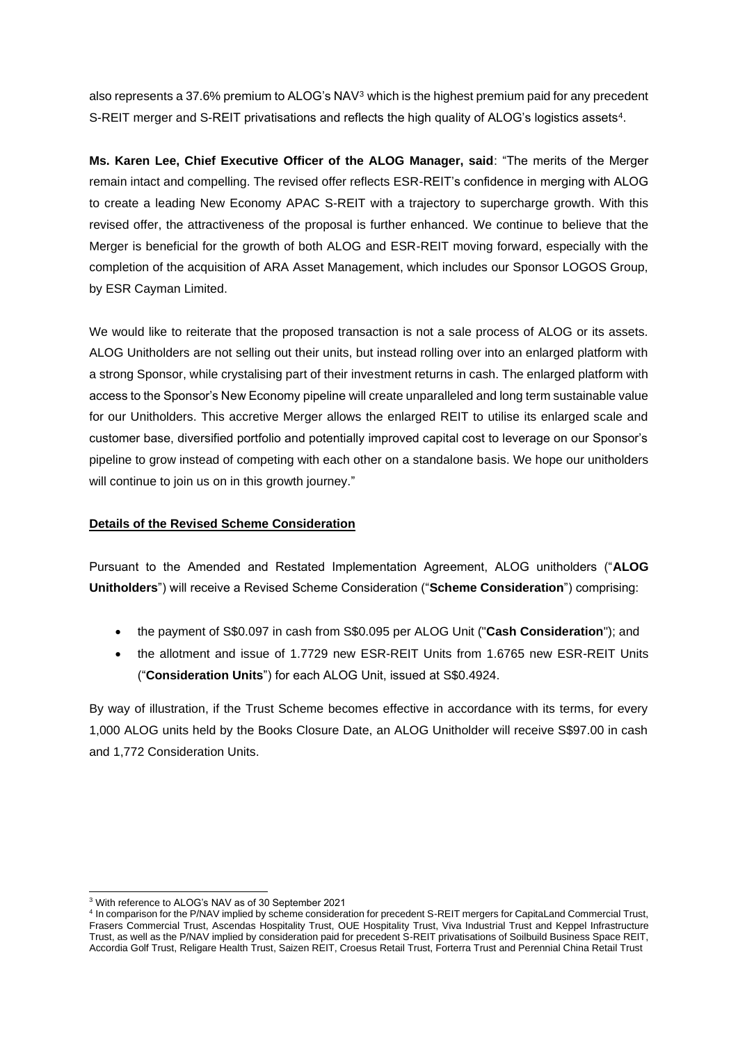also represents a 37.6% premium to ALOG's NAV<sup>3</sup> which is the highest premium paid for any precedent S-REIT merger and S-REIT privatisations and reflects the high quality of ALOG's logistics assets<sup>4</sup>.

**Ms. Karen Lee, Chief Executive Officer of the ALOG Manager, said**: "The merits of the Merger remain intact and compelling. The revised offer reflects ESR-REIT's confidence in merging with ALOG to create a leading New Economy APAC S-REIT with a trajectory to supercharge growth. With this revised offer, the attractiveness of the proposal is further enhanced. We continue to believe that the Merger is beneficial for the growth of both ALOG and ESR-REIT moving forward, especially with the completion of the acquisition of ARA Asset Management, which includes our Sponsor LOGOS Group, by ESR Cayman Limited.

We would like to reiterate that the proposed transaction is not a sale process of ALOG or its assets. ALOG Unitholders are not selling out their units, but instead rolling over into an enlarged platform with a strong Sponsor, while crystalising part of their investment returns in cash. The enlarged platform with access to the Sponsor's New Economy pipeline will create unparalleled and long term sustainable value for our Unitholders. This accretive Merger allows the enlarged REIT to utilise its enlarged scale and customer base, diversified portfolio and potentially improved capital cost to leverage on our Sponsor's pipeline to grow instead of competing with each other on a standalone basis. We hope our unitholders will continue to join us on in this growth journey."

### **Details of the Revised Scheme Consideration**

Pursuant to the Amended and Restated Implementation Agreement, ALOG unitholders ("**ALOG Unitholders**") will receive a Revised Scheme Consideration ("**Scheme Consideration**") comprising:

- the payment of S\$0.097 in cash from S\$0.095 per ALOG Unit ("**Cash Consideration**"); and
- the allotment and issue of 1.7729 new ESR-REIT Units from 1.6765 new ESR-REIT Units ("**Consideration Units**") for each ALOG Unit, issued at S\$0.4924.

By way of illustration, if the Trust Scheme becomes effective in accordance with its terms, for every 1,000 ALOG units held by the Books Closure Date, an ALOG Unitholder will receive S\$97.00 in cash and 1,772 Consideration Units.

<sup>3</sup> With reference to ALOG's NAV as of 30 September 2021

<sup>4</sup> In comparison for the P/NAV implied by scheme consideration for precedent S-REIT mergers for CapitaLand Commercial Trust, Frasers Commercial Trust, Ascendas Hospitality Trust, OUE Hospitality Trust, Viva Industrial Trust and Keppel Infrastructure Trust, as well as the P/NAV implied by consideration paid for precedent S-REIT privatisations of Soilbuild Business Space REIT, Accordia Golf Trust, Religare Health Trust, Saizen REIT, Croesus Retail Trust, Forterra Trust and Perennial China Retail Trust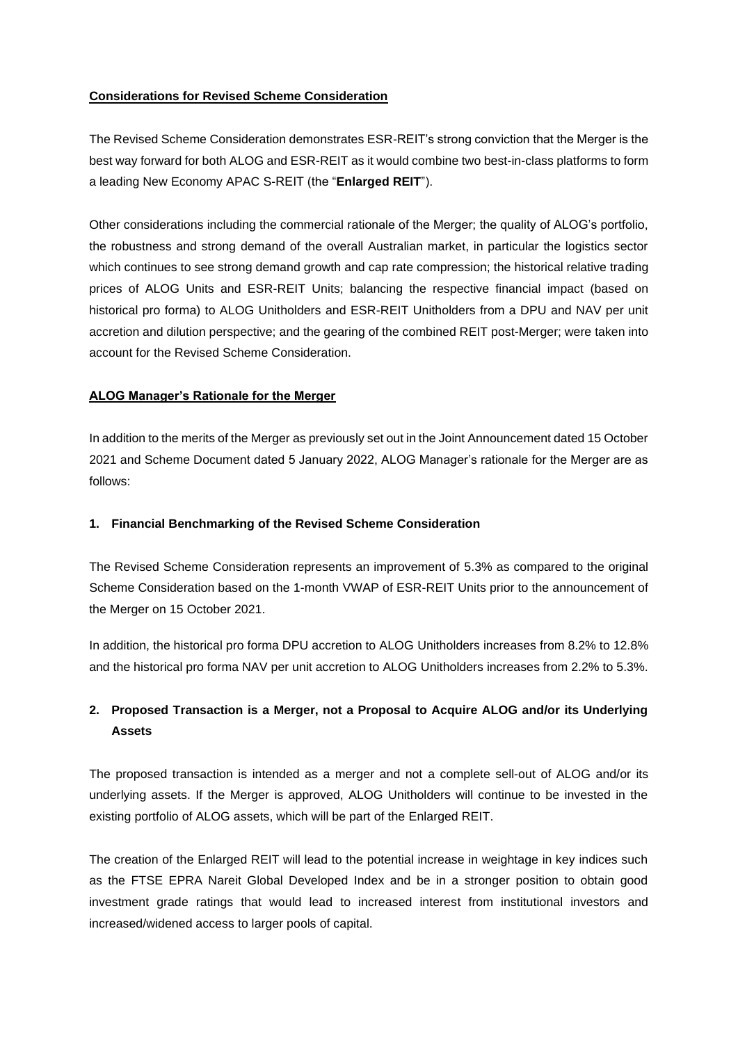### **Considerations for Revised Scheme Consideration**

The Revised Scheme Consideration demonstrates ESR-REIT's strong conviction that the Merger is the best way forward for both ALOG and ESR-REIT as it would combine two best-in-class platforms to form a leading New Economy APAC S-REIT (the "**Enlarged REIT**").

Other considerations including the commercial rationale of the Merger; the quality of ALOG's portfolio, the robustness and strong demand of the overall Australian market, in particular the logistics sector which continues to see strong demand growth and cap rate compression; the historical relative trading prices of ALOG Units and ESR-REIT Units; balancing the respective financial impact (based on historical pro forma) to ALOG Unitholders and ESR-REIT Unitholders from a DPU and NAV per unit accretion and dilution perspective; and the gearing of the combined REIT post-Merger; were taken into account for the Revised Scheme Consideration.

### **ALOG Manager's Rationale for the Merger**

In addition to the merits of the Merger as previously set out in the Joint Announcement dated 15 October 2021 and Scheme Document dated 5 January 2022, ALOG Manager's rationale for the Merger are as follows:

### **1. Financial Benchmarking of the Revised Scheme Consideration**

The Revised Scheme Consideration represents an improvement of 5.3% as compared to the original Scheme Consideration based on the 1-month VWAP of ESR-REIT Units prior to the announcement of the Merger on 15 October 2021.

In addition, the historical pro forma DPU accretion to ALOG Unitholders increases from 8.2% to 12.8% and the historical pro forma NAV per unit accretion to ALOG Unitholders increases from 2.2% to 5.3%.

## **2. Proposed Transaction is a Merger, not a Proposal to Acquire ALOG and/or its Underlying Assets**

The proposed transaction is intended as a merger and not a complete sell-out of ALOG and/or its underlying assets. If the Merger is approved, ALOG Unitholders will continue to be invested in the existing portfolio of ALOG assets, which will be part of the Enlarged REIT.

The creation of the Enlarged REIT will lead to the potential increase in weightage in key indices such as the FTSE EPRA Nareit Global Developed Index and be in a stronger position to obtain good investment grade ratings that would lead to increased interest from institutional investors and increased/widened access to larger pools of capital.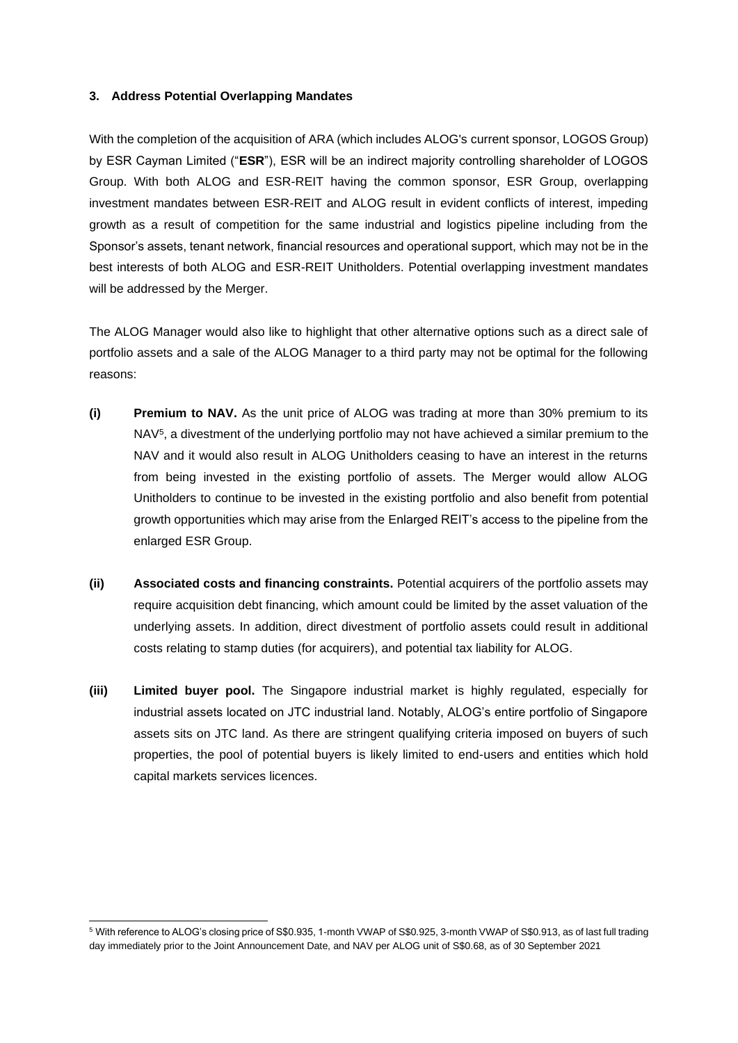#### **3. Address Potential Overlapping Mandates**

With the completion of the acquisition of ARA (which includes ALOG's current sponsor, LOGOS Group) by ESR Cayman Limited ("**ESR**"), ESR will be an indirect majority controlling shareholder of LOGOS Group. With both ALOG and ESR-REIT having the common sponsor, ESR Group, overlapping investment mandates between ESR-REIT and ALOG result in evident conflicts of interest, impeding growth as a result of competition for the same industrial and logistics pipeline including from the Sponsor's assets, tenant network, financial resources and operational support, which may not be in the best interests of both ALOG and ESR-REIT Unitholders. Potential overlapping investment mandates will be addressed by the Merger.

The ALOG Manager would also like to highlight that other alternative options such as a direct sale of portfolio assets and a sale of the ALOG Manager to a third party may not be optimal for the following reasons:

- **(i) Premium to NAV.** As the unit price of ALOG was trading at more than 30% premium to its NAV<sup>5</sup>, a divestment of the underlying portfolio may not have achieved a similar premium to the NAV and it would also result in ALOG Unitholders ceasing to have an interest in the returns from being invested in the existing portfolio of assets. The Merger would allow ALOG Unitholders to continue to be invested in the existing portfolio and also benefit from potential growth opportunities which may arise from the Enlarged REIT's access to the pipeline from the enlarged ESR Group.
- **(ii) Associated costs and financing constraints.** Potential acquirers of the portfolio assets may require acquisition debt financing, which amount could be limited by the asset valuation of the underlying assets. In addition, direct divestment of portfolio assets could result in additional costs relating to stamp duties (for acquirers), and potential tax liability for ALOG.
- **(iii) Limited buyer pool.** The Singapore industrial market is highly regulated, especially for industrial assets located on JTC industrial land. Notably, ALOG's entire portfolio of Singapore assets sits on JTC land. As there are stringent qualifying criteria imposed on buyers of such properties, the pool of potential buyers is likely limited to end-users and entities which hold capital markets services licences.

<sup>5</sup> With reference to ALOG's closing price of S\$0.935, 1-month VWAP of S\$0.925, 3-month VWAP of S\$0.913, as of last full trading day immediately prior to the Joint Announcement Date, and NAV per ALOG unit of S\$0.68, as of 30 September 2021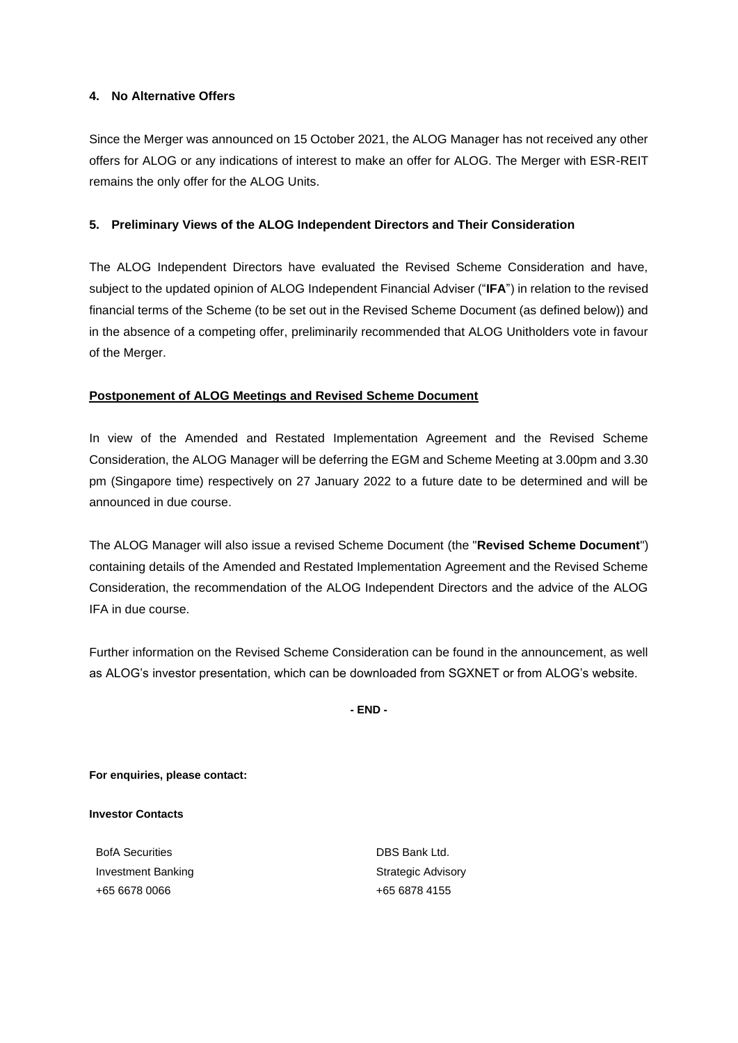### **4. No Alternative Offers**

Since the Merger was announced on 15 October 2021, the ALOG Manager has not received any other offers for ALOG or any indications of interest to make an offer for ALOG. The Merger with ESR-REIT remains the only offer for the ALOG Units.

### **5. Preliminary Views of the ALOG Independent Directors and Their Consideration**

The ALOG Independent Directors have evaluated the Revised Scheme Consideration and have, subject to the updated opinion of ALOG Independent Financial Adviser ("**IFA**") in relation to the revised financial terms of the Scheme (to be set out in the Revised Scheme Document (as defined below)) and in the absence of a competing offer, preliminarily recommended that ALOG Unitholders vote in favour of the Merger.

### **Postponement of ALOG Meetings and Revised Scheme Document**

In view of the Amended and Restated Implementation Agreement and the Revised Scheme Consideration, the ALOG Manager will be deferring the EGM and Scheme Meeting at 3.00pm and 3.30 pm (Singapore time) respectively on 27 January 2022 to a future date to be determined and will be announced in due course.

The ALOG Manager will also issue a revised Scheme Document (the "**Revised Scheme Document**") containing details of the Amended and Restated Implementation Agreement and the Revised Scheme Consideration, the recommendation of the ALOG Independent Directors and the advice of the ALOG IFA in due course.

Further information on the Revised Scheme Consideration can be found in the announcement, as well as ALOG's investor presentation, which can be downloaded from SGXNET or from ALOG's website.

**- END -**

**For enquiries, please contact:** 

#### **Investor Contacts**

BofA Securities Investment Banking +65 6678 0066

DBS Bank Ltd. Strategic Advisory +65 6878 4155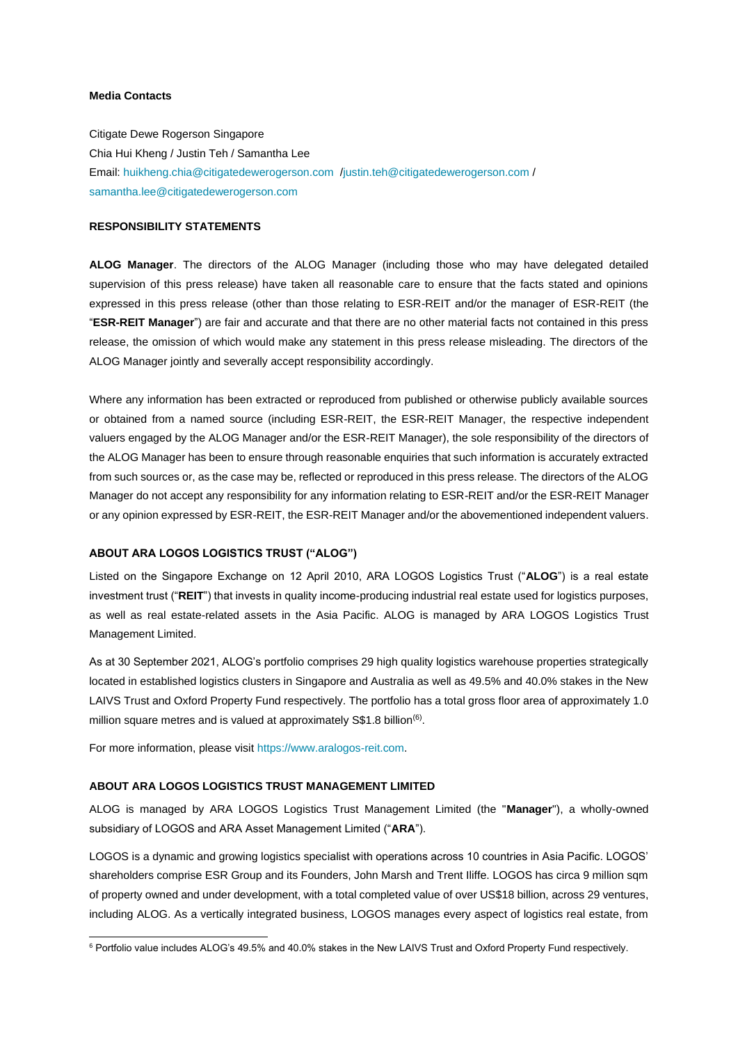#### **Media Contacts**

Citigate Dewe Rogerson Singapore Chia Hui Kheng / Justin Teh / Samantha Lee Email[: huikheng.chia@citigatedewerogerson.com](mailto:huikheng.chia@citigatedewerogerson.com) [/justin.teh@citigatedewerogerson.com](mailto:justin.teh@citigatedewerogerson.com) / [samantha.lee@citigatedewerogerson.com](mailto:samantha.lee@citigatedewerogerson.com)

#### **RESPONSIBILITY STATEMENTS**

**ALOG Manager**. The directors of the ALOG Manager (including those who may have delegated detailed supervision of this press release) have taken all reasonable care to ensure that the facts stated and opinions expressed in this press release (other than those relating to ESR-REIT and/or the manager of ESR-REIT (the "**ESR-REIT Manager**") are fair and accurate and that there are no other material facts not contained in this press release, the omission of which would make any statement in this press release misleading. The directors of the ALOG Manager jointly and severally accept responsibility accordingly.

Where any information has been extracted or reproduced from published or otherwise publicly available sources or obtained from a named source (including ESR-REIT, the ESR-REIT Manager, the respective independent valuers engaged by the ALOG Manager and/or the ESR-REIT Manager), the sole responsibility of the directors of the ALOG Manager has been to ensure through reasonable enquiries that such information is accurately extracted from such sources or, as the case may be, reflected or reproduced in this press release. The directors of the ALOG Manager do not accept any responsibility for any information relating to ESR-REIT and/or the ESR-REIT Manager or any opinion expressed by ESR-REIT, the ESR-REIT Manager and/or the abovementioned independent valuers.

#### **ABOUT ARA LOGOS LOGISTICS TRUST ("ALOG")**

Listed on the Singapore Exchange on 12 April 2010, ARA LOGOS Logistics Trust ("**ALOG**") is a real estate investment trust ("**REIT**") that invests in quality income-producing industrial real estate used for logistics purposes, as well as real estate-related assets in the Asia Pacific. ALOG is managed by ARA LOGOS Logistics Trust Management Limited.

As at 30 September 2021, ALOG's portfolio comprises 29 high quality logistics warehouse properties strategically located in established logistics clusters in Singapore and Australia as well as 49.5% and 40.0% stakes in the New LAIVS Trust and Oxford Property Fund respectively. The portfolio has a total gross floor area of approximately 1.0 million square metres and is valued at approximately S\$1.8 billion<sup>(6)</sup>.

For more information, please visit https://www.aralogos-reit.com.

#### **ABOUT ARA LOGOS LOGISTICS TRUST MANAGEMENT LIMITED**

ALOG is managed by ARA LOGOS Logistics Trust Management Limited (the "**Manager**"), a wholly-owned subsidiary of LOGOS and ARA Asset Management Limited ("**ARA**").

LOGOS is a dynamic and growing logistics specialist with operations across 10 countries in Asia Pacific. LOGOS' shareholders comprise ESR Group and its Founders, John Marsh and Trent Iliffe. LOGOS has circa 9 million sqm of property owned and under development, with a total completed value of over US\$18 billion, across 29 ventures, including ALOG. As a vertically integrated business, LOGOS manages every aspect of logistics real estate, from

<sup>&</sup>lt;sup>6</sup> Portfolio value includes ALOG's 49.5% and 40.0% stakes in the New LAIVS Trust and Oxford Property Fund respectively.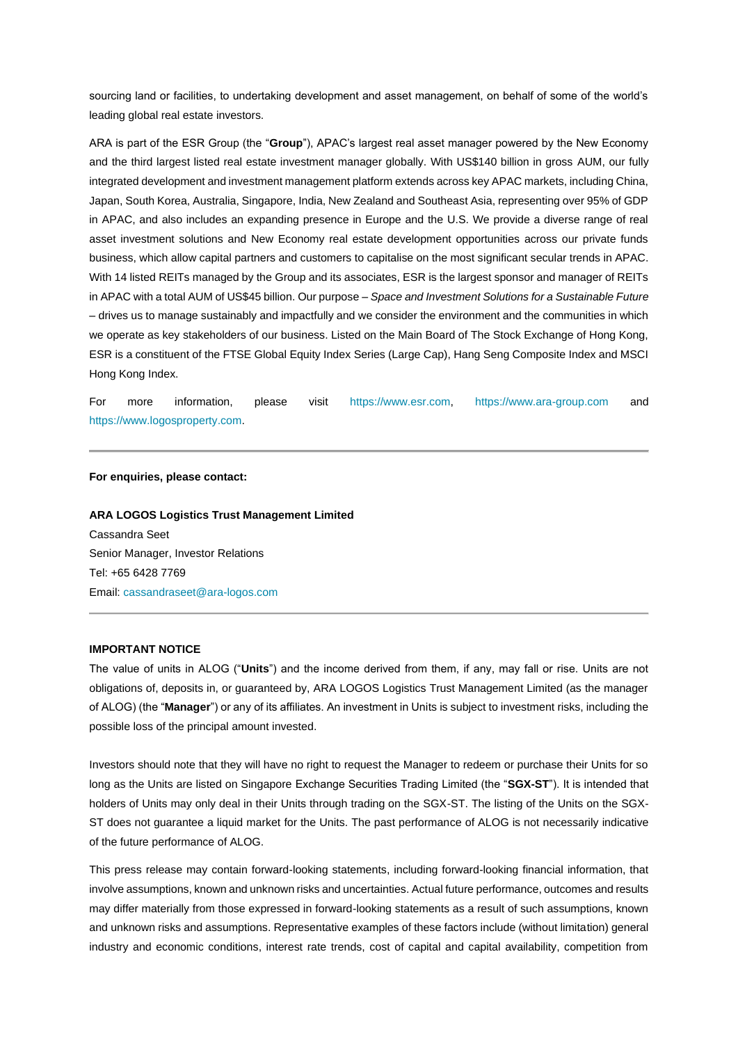sourcing land or facilities, to undertaking development and asset management, on behalf of some of the world's leading global real estate investors.

ARA is part of the ESR Group (the "**Group**"), APAC's largest real asset manager powered by the New Economy and the third largest listed real estate investment manager globally. With US\$140 billion in gross AUM, our fully integrated development and investment management platform extends across key APAC markets, including China, Japan, South Korea, Australia, Singapore, India, New Zealand and Southeast Asia, representing over 95% of GDP in APAC, and also includes an expanding presence in Europe and the U.S. We provide a diverse range of real asset investment solutions and New Economy real estate development opportunities across our private funds business, which allow capital partners and customers to capitalise on the most significant secular trends in APAC. With 14 listed REITs managed by the Group and its associates, ESR is the largest sponsor and manager of REITs in APAC with a total AUM of US\$45 billion. Our purpose – *Space and Investment Solutions for a Sustainable Future* – drives us to manage sustainably and impactfully and we consider the environment and the communities in which we operate as key stakeholders of our business. Listed on the Main Board of The Stock Exchange of Hong Kong, ESR is a constituent of the FTSE Global Equity Index Series (Large Cap), Hang Seng Composite Index and MSCI Hong Kong Index.

For more information, please visit [https://www.esr.com,](https://www.esr.com/) [https://www.ara-group.com](https://www.ara-group.com/) and [https://www.logosproperty.com.](https://www.logosproperty.com/)

#### **For enquiries, please contact:**

#### **ARA LOGOS Logistics Trust Management Limited**

Cassandra Seet Senior Manager, Investor Relations Tel: +65 6428 7769 Email[: cassandraseet@ara-logos.com](mailto:cassandraseet@ara-logos.com)

#### **IMPORTANT NOTICE**

The value of units in ALOG ("**Units**") and the income derived from them, if any, may fall or rise. Units are not obligations of, deposits in, or guaranteed by, ARA LOGOS Logistics Trust Management Limited (as the manager of ALOG) (the "**Manager**") or any of its affiliates. An investment in Units is subject to investment risks, including the possible loss of the principal amount invested.

Investors should note that they will have no right to request the Manager to redeem or purchase their Units for so long as the Units are listed on Singapore Exchange Securities Trading Limited (the "**SGX-ST**"). It is intended that holders of Units may only deal in their Units through trading on the SGX-ST. The listing of the Units on the SGX-ST does not guarantee a liquid market for the Units. The past performance of ALOG is not necessarily indicative of the future performance of ALOG.

This press release may contain forward-looking statements, including forward-looking financial information, that involve assumptions, known and unknown risks and uncertainties. Actual future performance, outcomes and results may differ materially from those expressed in forward-looking statements as a result of such assumptions, known and unknown risks and assumptions. Representative examples of these factors include (without limitation) general industry and economic conditions, interest rate trends, cost of capital and capital availability, competition from